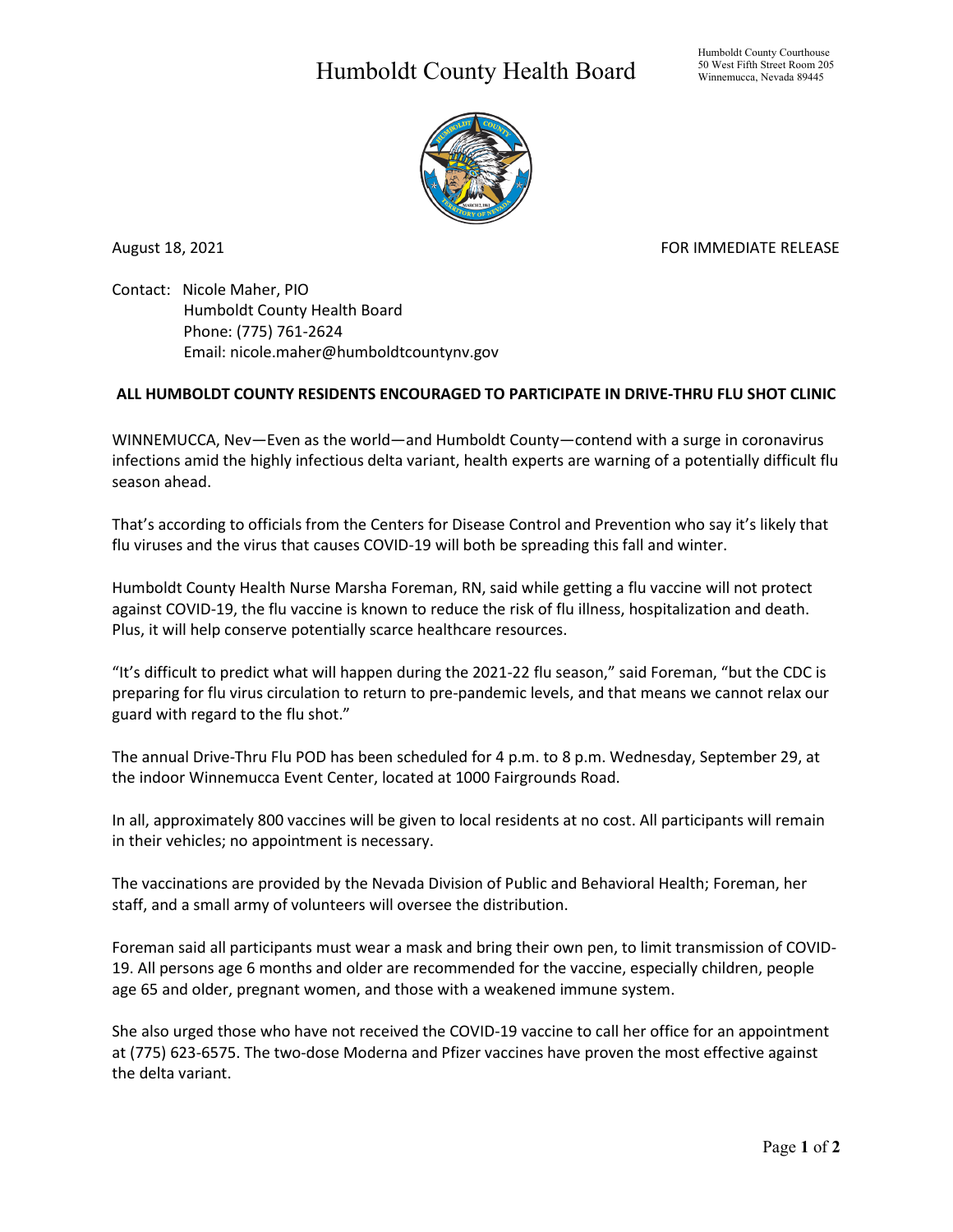## Humboldt County Health Board



August 18, 2021 **FOR IMMEDIATE RELEASE** 

Contact: Nicole Maher, PIO Humboldt County Health Board Phone: (775) 761-2624 Email: nicole.maher@humboldtcountynv.gov

## **ALL HUMBOLDT COUNTY RESIDENTS ENCOURAGED TO PARTICIPATE IN DRIVE-THRU FLU SHOT CLINIC**

WINNEMUCCA, Nev—Even as the world—and Humboldt County—contend with a surge in coronavirus infections amid the highly infectious delta variant, health experts are warning of a potentially difficult flu season ahead.

That's according to officials from the Centers for Disease Control and Prevention who say it's likely that flu viruses and the virus that causes COVID-19 will both be spreading this fall and winter.

Humboldt County Health Nurse Marsha Foreman, RN, said while getting a flu vaccine will not protect against COVID-19, the flu vaccine is known to reduce the risk of flu illness, hospitalization and death. Plus, it will help conserve potentially scarce healthcare resources.

"It's difficult to predict what will happen during the 2021-22 flu season," said Foreman, "but the CDC is preparing for flu virus circulation to return to pre-pandemic levels, and that means we cannot relax our guard with regard to the flu shot."

The annual Drive-Thru Flu POD has been scheduled for 4 p.m. to 8 p.m. Wednesday, September 29, at the indoor Winnemucca Event Center, located at 1000 Fairgrounds Road.

In all, approximately 800 vaccines will be given to local residents at no cost. All participants will remain in their vehicles; no appointment is necessary.

The vaccinations are provided by the Nevada Division of Public and Behavioral Health; Foreman, her staff, and a small army of volunteers will oversee the distribution.

Foreman said all participants must wear a mask and bring their own pen, to limit transmission of COVID-19. All persons age 6 months and older are recommended for the vaccine, especially children, people age 65 and older, pregnant women, and those with a weakened immune system.

She also urged those who have not received the COVID-19 vaccine to call her office for an appointment at (775) 623-6575. The two-dose Moderna and Pfizer vaccines have proven the most effective against the delta variant.